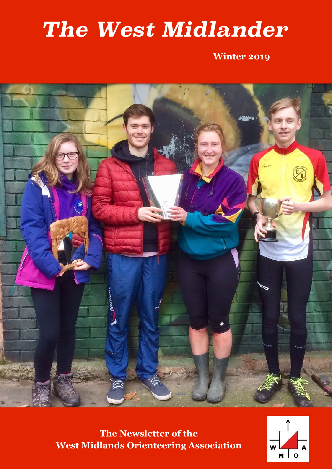# *The West Midlander*

**Winter 2019**



**The Newsletter of the West Midlands Orienteering Association**

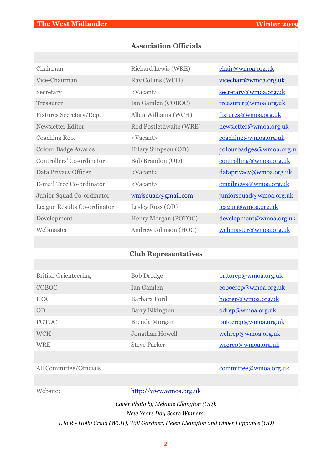#### **Association Officials**

| Chairman                    | Richard Lewis (WRE)     | chair@wmoa.org.uk       |
|-----------------------------|-------------------------|-------------------------|
| Vice-Chairman               | Ray Collins (WCH)       | vicechair@wmoa.org.uk   |
| Secretary                   | <vacant></vacant>       | secretary@wmoa.org.uk   |
| Treasurer                   | Ian Gamlen (COBOC)      | treasurer@wmoa.org.uk   |
| Fixtures Secretary/Rep.     | Allan Williams (WCH)    | fixtures@wmoa.org.uk    |
| Newsletter Editor           | Rod Postlethwaite (WRE) | newsletter@wmoa.org.uk  |
| Coaching Rep.               | <vacant></vacant>       | coaching@wmoa.org.uk    |
| <b>Colour Badge Awards</b>  | Hilary Simpson (OD)     | colourbadges@wmoa.org.u |
| Controllers' Co-ordinator   | Bob Brandon (OD)        | controlling@wmoa.org.uk |
| Data Privacy Officer        | <vacant></vacant>       | dataprivacy@wmoa.org.uk |
| E-mail Tree Co-ordinator    | <vacant></vacant>       | emailnews@wmoa.org.uk   |
| Junior Squad Co-ordinator   | wmjsquad@gmail.com      | juniorsquad@wmoa.org.uk |
| League Results Co-ordinator | Lesley Ross (OD)        | league@wmoa.org.uk      |
| Development                 | Henry Morgan (POTOC)    | development@wmoa.org.uk |
| Webmaster                   | Andrew Johnson (HOC)    | webmaster@wmoa.org.uk   |

#### **Club Representatives**

| <b>British Orienteering</b> | <b>Bob Dredge</b>      | britorep@wmoa.org.uk |
|-----------------------------|------------------------|----------------------|
| <b>COBOC</b>                | Jan Gamlen             | cobocrep@wmoa.org.uk |
| <b>HOC</b>                  | Barbara Ford           | hocrep@wmoa.org.uk   |
| OD                          | <b>Barry Elkington</b> | odrep@wmoa.org.uk    |
| <b>POTOC</b>                | Brenda Morgan          | potocrep@wmoa.org.uk |
| <b>WCH</b>                  | Jonathan Howell        | wchrep@wmoa.org.uk   |
| <b>WRE</b>                  | <b>Steve Parker</b>    | wrerep@wmoa.org.uk   |

#### All Committee/Officials committee@wmoa.org.uk

Website: <http://www.wmoa.org.uk>

*Cover Photo by Melanie Elkington (OD):* 

*New Years Day Score Winners:* 

*L to R - Holly Craig (WCH), Will Gardner, Helen Elkington and Oliver Flippance (OD)*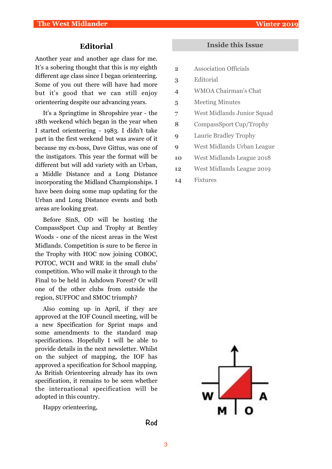#### **Editorial**

Another year and another age class for me. It's a sobering thought that this is my eighth different age class since I began orienteering. Some of you out there will have had more but it's good that we can still enjoy orienteering despite our advancing years.

It's a Springtime in Shropshire year - the 18th weekend which began in the year when I started orienteering - 1983. I didn't take part in the first weekend but was aware of it because my ex-boss, Dave Gittus, was one of the instigators. This year the format will be different but will add variety with an Urban, a Middle Distance and a Long Distance incorporating the Midland Championships. I have been doing some map updating for the Urban and Long Distance events and both areas are looking great.

Before SinS, OD will be hosting the CompassSport Cup and Trophy at Bentley Woods - one of the nicest areas in the West Midlands. Competition is sure to be fierce in the Trophy with HOC now joining COBOC, POTOC, WCH and WRE in the small clubs' competition. Who will make it through to the Final to be held in Ashdown Forest? Or will one of the other clubs from outside the region, SUFFOC and SMOC triumph?

Also coming up in April, if they are approved at the IOF Council meeting, will be a new Specification for Sprint maps and some amendments to the standard map specifications. Hopefully I will be able to provide details in the next newsletter. Whilst on the subject of mapping, the IOF has approved a specification for School mapping. As British Orienteering already has its own specification, it remains to be seen whether the international specification will be adopted in this country.

Happy orienteering,

#### **Inside this Issue**

- **2** Association Officials
- **3** Editorial
- **4** WMOA Chairman's Chat
- **5** Meeting Minutes
- **7** West Midlands Junior Squad
- **8** CompassSport Cup/Trophy
- **9** Laurie Bradley Trophy
- **9** West Midlands Urban League
- **10** West Midlands League 2018
- **12** West Midlands League 2019
- **14** Fixtures



**Rod**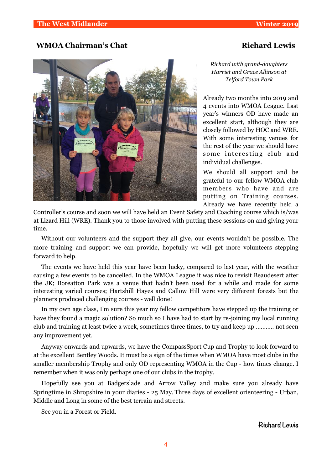#### **WMOA Chairman's Chat Chairman's Chat Richard Lewis**



*Richard with grand-daughters Harriet and Grace Allinson at Telford Town Park*

Already two months into 2019 and 4 events into WMOA League. Last year's winners OD have made an excellent start, although they are closely followed by HOC and WRE. With some interesting venues for the rest of the year we should have some interesting club and individual challenges.

We should all support and be grateful to our fellow WMOA club members who have and are putting on Training courses. Already we have recently held a

Controller's course and soon we will have held an Event Safety and Coaching course which is/was at Lizard Hill (WRE). Thank you to those involved with putting these sessions on and giving your time.

Without our volunteers and the support they all give, our events wouldn't be possible. The more training and support we can provide, hopefully we will get more volunteers stepping forward to help.

The events we have held this year have been lucky, compared to last year, with the weather causing a few events to be cancelled. In the WMOA League it was nice to revisit Beaudesert after the JK; Boreatton Park was a venue that hadn't been used for a while and made for some interesting varied courses; Hartshill Hayes and Callow Hill were very different forests but the planners produced challenging courses - well done!

In my own age class, I'm sure this year my fellow competitors have stepped up the training or have they found a magic solution? So much so I have had to start by re-joining my local running club and training at least twice a week, sometimes three times, to try and keep up ……….. not seen any improvement yet.

Anyway onwards and upwards, we have the CompassSport Cup and Trophy to look forward to at the excellent Bentley Woods. It must be a sign of the times when WMOA have most clubs in the smaller membership Trophy and only OD representing WMOA in the Cup - how times change. I remember when it was only perhaps one of our clubs in the trophy.

Hopefully see you at Badgerslade and Arrow Valley and make sure you already have Springtime in Shropshire in your diaries - 25 May. Three days of excellent orienteering - Urban, Middle and Long in some of the best terrain and streets.

See you in a Forest or Field.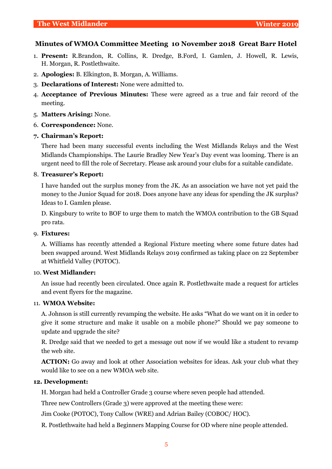#### **Minutes of WMOA Committee Meeting 10 November 2018 Great Barr Hotel**

- 1. **Present:** R.Brandon, R. Collins, R. Dredge, B.Ford, I. Gamlen, J. Howell, R. Lewis, H. Morgan, R. Postlethwaite.
- 2. **Apologies:** B. Elkington, B. Morgan, A. Williams.
- 3. **Declarations of Interest:** None were admitted to.
- 4. **Acceptance of Previous Minutes:** These were agreed as a true and fair record of the meeting.
- 5. **Matters Arising:** None.
- 6. **Correspondence:** None.

#### **7. Chairman's Report:**

There had been many successful events including the West Midlands Relays and the West Midlands Championships. The Laurie Bradley New Year's Day event was looming. There is an urgent need to fill the role of Secretary. Please ask around your clubs for a suitable candidate.

#### 8. **Treasurer's Report:**

I have handed out the surplus money from the JK. As an association we have not yet paid the money to the Junior Squad for 2018. Does anyone have any ideas for spending the JK surplus? Ideas to I. Gamlen please.

D. Kingsbury to write to BOF to urge them to match the WMOA contribution to the GB Squad pro rata.

#### 9. **Fixtures:**

A. Williams has recently attended a Regional Fixture meeting where some future dates had been swapped around. West Midlands Relays 2019 confirmed as taking place on 22 September at Whitfield Valley (POTOC).

#### 10. **West Midlander:**

An issue had recently been circulated. Once again R. Postlethwaite made a request for articles and event flyers for the magazine.

#### 11. **WMOA Website:**

A. Johnson is still currently revamping the website. He asks "What do we want on it in order to give it some structure and make it usable on a mobile phone?" Should we pay someone to update and upgrade the site?

R. Dredge said that we needed to get a message out now if we would like a student to revamp the web site.

**ACTION:** Go away and look at other Association websites for ideas. Ask your club what they would like to see on a new WMOA web site.

#### **12. Development:**

H. Morgan had held a Controller Grade 3 course where seven people had attended.

Three new Controllers (Grade 3) were approved at the meeting these were:

Jim Cooke (POTOC), Tony Callow (WRE) and Adrian Bailey (COBOC/ HOC).

R. Postlethwaite had held a Beginners Mapping Course for OD where nine people attended.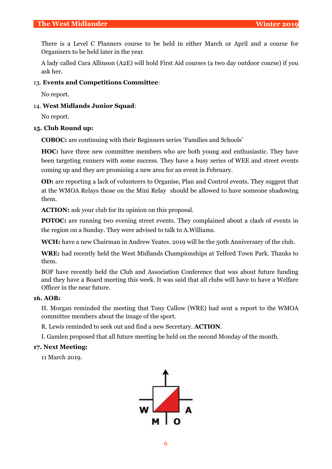There is a Level C Planners course to be held in either March or April and a course for Organisers to be held later in the year.

A lady called Cara Allinson (A2E) will hold First Aid courses (a two day outdoor course) if you ask her.

#### 13. **Events and Competitions Committee**:

No report.

#### 14. **West Midlands Junior Squad**:

No report.

#### **15. Club Round up:**

**COBOC:** are continuing with their Beginners series 'Families and Schools'

**HOC:** have three new committee members who are both young and enthusiastic. They have been targeting runners with some success. They have a busy series of WEE and street events coming up and they are promising a new area for an event in February.

**OD:** are reporting a lack of volunteers to Organise, Plan and Control events. They suggest that at the WMOA Relays those on the Mini Relay should be allowed to have someone shadowing them.

**ACTION:** ask your club for its opinion on this proposal.

**POTOC:** are running two evening street events. They complained about a clash of events in the region on a Sunday. They were advised to talk to A.Williams.

**WCH:** have a new Chairman in Andrew Yeates. 2019 will be the 50th Anniversary of the club.

**WRE:** had recently held the West Midlands Championships at Telford Town Park. Thanks to them.

BOF have recently held the Club and Association Conference that was about future funding and they have a Board meeting this week. It was said that all clubs will have to have a Welfare Officer in the near future.

#### **16. AOB:**

H. Morgan reminded the meeting that Tony Callow (WRE) had sent a report to the WMOA committee members about the image of the sport.

R. Lewis reminded to seek out and find a new Secretary. **ACTION**.

I. Gamlen proposed that all future meeting be held on the second Monday of the month.

#### **17. Next Meeting:**

11 March 2019.

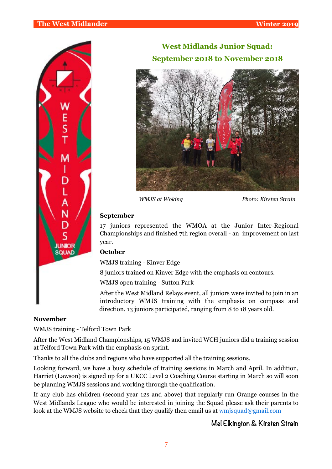

### **West Midlands Junior Squad: September 2018 to November 2018**



*WMJS at Woking Photo: Kirsten Strain*

#### **September**

17 juniors represented the WMOA at the Junior Inter-Regional Championships and finished 7th region overall - an improvement on last year.

#### **October**

WMJS training - Kinver Edge

8 juniors trained on Kinver Edge with the emphasis on contours.

WMJS open training - Sutton Park

After the West Midland Relays event, all juniors were invited to join in an introductory WMJS training with the emphasis on compass and direction. 13 juniors participated, ranging from 8 to 18 years old.

#### **November**

WMJS training - Telford Town Park

After the West Midland Championships, 15 WMJS and invited WCH juniors did a training session at Telford Town Park with the emphasis on sprint.

Thanks to all the clubs and regions who have supported all the training sessions.

Looking forward, we have a busy schedule of training sessions in March and April. In addition, Harriet (Lawson) is signed up for a UKCC Level 2 Coaching Course starting in March so will soon be planning WMJS sessions and working through the qualification.

If any club has children (second year 12s and above) that regularly run Orange courses in the West Midlands League who would be interested in joining the Squad please ask their parents to look at the WMJS website to check that they qualify then email us at wmisquad@gmail.com

#### **Mel Elkington & Kirsten Strain**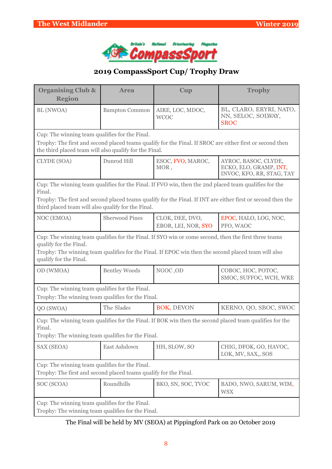

### **2019 CompassSport Cup/ Trophy Draw**

| <b>Organising Club &amp;</b><br><b>Region</b>                                                                                                                                                                                                                   | <b>Area</b>           | Cup                                    | <b>Trophy</b>                                                                                               |  |  |  |  |
|-----------------------------------------------------------------------------------------------------------------------------------------------------------------------------------------------------------------------------------------------------------------|-----------------------|----------------------------------------|-------------------------------------------------------------------------------------------------------------|--|--|--|--|
| BL (NWOA)                                                                                                                                                                                                                                                       | <b>Bampton Common</b> | AIRE, LOC, MDOC,<br><b>WCOC</b>        | BL, CLARO, ERYRI, NATO,<br>NN, SELOC, SOLWAY,<br><b>SROC</b>                                                |  |  |  |  |
| Cup: The winning team qualifies for the Final.                                                                                                                                                                                                                  |                       |                                        |                                                                                                             |  |  |  |  |
| the third placed team will also qualify for the Final.                                                                                                                                                                                                          |                       |                                        | Trophy: The first and second placed teams qualify for the Final. If SROC are either first or second then    |  |  |  |  |
| CLYDE (SOA)                                                                                                                                                                                                                                                     | Dunrod Hill           | ESOC, FVO, MAROC,<br>MOR,              | AYROC, BASOC, CLYDE,<br>ECKO, ELO, GRAMP, INT,<br>INVOC, KFO, RR, STAG, TAY                                 |  |  |  |  |
| Final.                                                                                                                                                                                                                                                          |                       |                                        | Cup: The winning team qualifies for the Final. If FVO win, then the 2nd placed team qualifies for the       |  |  |  |  |
| third placed team will also qualify for the Final.                                                                                                                                                                                                              |                       |                                        | Trophy: The first and second placed teams qualify for the Final. If INT are either first or second then the |  |  |  |  |
| NOC (EMOA)                                                                                                                                                                                                                                                      | <b>Sherwood Pines</b> | CLOK, DEE, DVO,<br>EBOR, LEI, NOR, SYO | EPOC, HALO, LOG, NOC,<br>PFO, WAOC                                                                          |  |  |  |  |
| Cup: The winning team qualifies for the Final. If SYO win or come second, then the first three teams<br>qualify for the Final.<br>Trophy: The winning team qualifies for the Final. If EPOC win then the second placed team will also<br>qualify for the Final. |                       |                                        |                                                                                                             |  |  |  |  |
| OD (WMOA)                                                                                                                                                                                                                                                       | <b>Bentley Woods</b>  | NGOC, OD                               | COBOC, HOC, POTOC,<br>SMOC, SUFFOC, WCH, WRE                                                                |  |  |  |  |
| Cup: The winning team qualifies for the Final.<br>Trophy: The winning team qualifies for the Final.                                                                                                                                                             |                       |                                        |                                                                                                             |  |  |  |  |
| QO (SWOA)                                                                                                                                                                                                                                                       | The Slades            | BOK, DEVON                             | KERNO, QO, SBOC, SWOC                                                                                       |  |  |  |  |
| Final.<br>Trophy: The winning team qualifies for the Final.                                                                                                                                                                                                     |                       |                                        | Cup: The winning team qualifies for the Final. If BOK win then the second placed team qualifies for the     |  |  |  |  |
| SAX (SEOA)                                                                                                                                                                                                                                                      | East Ashdown          | HH, SLOW, SO                           | CHIG, DFOK, GO, HAVOC,<br>LOK, MV, SAX,, SOS                                                                |  |  |  |  |
| Cup: The winning team qualifies for the Final.<br>Trophy: The first and second placed teams qualify for the Final.                                                                                                                                              |                       |                                        |                                                                                                             |  |  |  |  |
| SOC (SCOA)                                                                                                                                                                                                                                                      | Roundhills            | BKO, SN, SOC, TVOC                     | BADO, NWO, SARUM, WIM,<br><b>WSX</b>                                                                        |  |  |  |  |
| Cup: The winning team qualifies for the Final.<br>Trophy: The winning team qualifies for the Final.                                                                                                                                                             |                       |                                        |                                                                                                             |  |  |  |  |

### The Final will be held by MV (SEOA) at Pippingford Park on 20 October 2019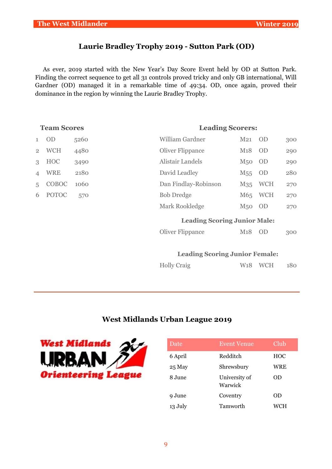### **Laurie Bradley Trophy 2019 - Sutton Park (OD)**

As ever, 2019 started with the New Year's Day Score Event held by OD at Sutton Park. Finding the correct sequence to get all 31 controls proved tricky and only GB international, Will Gardner (OD) managed it in a remarkable time of 49:34. OD, once again, proved their dominance in the region by winning the Laurie Bradley Trophy.

| <b>Team Scores</b> |              |      | <b>Leading Scorers:</b>             |                  |            |     |  |  |
|--------------------|--------------|------|-------------------------------------|------------------|------------|-----|--|--|
| $\mathbf{1}$       | <b>OD</b>    | 5260 | <b>William Gardner</b>              | $M_{21}$         | - OD       | 300 |  |  |
| $\overline{2}$     | <b>WCH</b>   | 4480 | Oliver Flippance                    | M18              | <b>OD</b>  | 290 |  |  |
| $\mathcal{S}$      | <b>HOC</b>   | 3490 | Alistair Landels                    | M <sub>50</sub>  | - OD       | 290 |  |  |
| 4                  | <b>WRE</b>   | 2180 | David Leadley                       | $M_{55}$         | - OD       | 280 |  |  |
| 5                  | COBOC        | 1060 | Dan Findlay-Robinson                | M35              | <b>WCH</b> | 270 |  |  |
| 6                  | <b>POTOC</b> | 570  | <b>Bob Dredge</b>                   |                  | M65 WCH    | 270 |  |  |
|                    |              |      | Mark Rookledge                      | M <sub>50</sub>  | OD         | 270 |  |  |
|                    |              |      | <b>Leading Scoring Junior Male:</b> |                  |            |     |  |  |
|                    |              |      | Oliver Flippance                    | M <sub>1</sub> 8 | <b>OD</b>  | 300 |  |  |
|                    |              |      |                                     |                  |            |     |  |  |
|                    |              |      |                                     |                  |            |     |  |  |

#### **Leading Scoring Junior Female:**

| <b>Holly Craig</b> | W <sub>18</sub> WCH | 180 |
|--------------------|---------------------|-----|
|                    |                     |     |

#### **West Midlands Urban League 2019**



| Date    | <b>Event Venue</b>       | Club       |
|---------|--------------------------|------------|
| 6 April | Redditch                 | <b>HOC</b> |
| 25 May  | Shrewsbury               | WRE        |
| 8 June  | University of<br>Warwick | OD         |
| 9 June  | Coventry                 | OD         |
| 13 July | Tamworth                 | WCH        |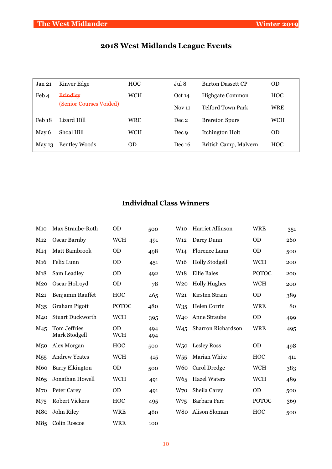### **2018 West Midlands League Events**

| Jan 21   | Kinver Edge             | <b>HOC</b> | Jul 8         | <b>Burton Dassett CP</b> | <b>OD</b>  |
|----------|-------------------------|------------|---------------|--------------------------|------------|
| Feb 4    | <b>Brindley</b>         | WCH        | Oct 14        | <b>Highgate Common</b>   | <b>HOC</b> |
|          | (Senior Courses Voided) |            | <b>Nov 11</b> | Telford Town Park        | <b>WRE</b> |
| Feb 18   | Lizard Hill             | WRE        | Dec 2         | <b>Brereton Spurs</b>    | <b>WCH</b> |
| May 6    | Shoal Hill              | WCH        | Dec 9         | Itchington Holt          | <b>OD</b>  |
| May $13$ | <b>Bentley Woods</b>    | 0D         | Dec 16        | British Camp, Malvern    | <b>HOC</b> |

### **Individual Class Winners**

| M10              | Max Straube-Roth              | <b>OD</b>               | 500        | W <sub>10</sub> | Harriet Allinson      | <b>WRE</b>   | 351 |
|------------------|-------------------------------|-------------------------|------------|-----------------|-----------------------|--------------|-----|
| M12              | Oscar Barnby                  | <b>WCH</b>              | 491        | W <sub>12</sub> | Darcy Dunn            | <b>OD</b>    | 260 |
| M <sub>14</sub>  | Matt Bambrook                 | <b>OD</b>               | 498        | W <sub>14</sub> | Florence Lunn         | <b>OD</b>    | 500 |
| M <sub>16</sub>  | Felix Lunn                    | <b>OD</b>               | 451        | W <sub>16</sub> | <b>Holly Stodgell</b> | <b>WCH</b>   | 200 |
| M <sub>1</sub> 8 | Sam Leadley                   | <b>OD</b>               | 492        | W <sub>18</sub> | <b>Ellie Bales</b>    | <b>POTOC</b> | 200 |
| $M_{20}$         | Oscar Holroyd                 | <b>OD</b>               | 78         | W20             | <b>Holly Hughes</b>   | <b>WCH</b>   | 200 |
| M <sub>21</sub>  | Benjamin Rauffet              | HOC                     | 465        | W21             | Kirsten Strain        | <b>OD</b>    | 389 |
| M35              | Graham Pigott                 | <b>POTOC</b>            | 480        | $W_{35}$        | Helen Corrin          | <b>WRE</b>   | 80  |
| M <sub>40</sub>  | <b>Stuart Duckworth</b>       | <b>WCH</b>              | 395        | W <sub>40</sub> | Anne Straube          | <b>OD</b>    | 499 |
| M <sub>45</sub>  | Tom Jeffries<br>Mark Stodgell | <b>OD</b><br><b>WCH</b> | 494<br>494 | W <sub>45</sub> | Sharron Richardson    | <b>WRE</b>   | 495 |
| M <sub>50</sub>  | Alex Morgan                   | HOC                     | 500        | W <sub>50</sub> | <b>Lesley Ross</b>    | <b>OD</b>    | 498 |
| M <sub>55</sub>  | <b>Andrew Yeates</b>          | <b>WCH</b>              | 415        | $W_{55}$        | Marian White          | HOC          | 411 |
| M <sub>60</sub>  | <b>Barry Elkington</b>        | <b>OD</b>               | 500        | W60             | Carol Dredge          | <b>WCH</b>   | 383 |
| M65              | Jonathan Howell               | <b>WCH</b>              | 491        | W <sub>65</sub> | <b>Hazel Waters</b>   | <b>WCH</b>   | 489 |
| M <sub>70</sub>  | <b>Peter Carey</b>            | <b>OD</b>               | 491        | W70             | Sheila Carey          | <b>OD</b>    | 500 |
| M75              | <b>Robert Vickers</b>         | HOC                     | 495        | W75             | Barbara Farr          | <b>POTOC</b> | 369 |
| M80              | John Riley                    | <b>WRE</b>              | 460        | W80             | Alison Sloman         | HOC          | 500 |
| M85              | <b>Colin Roscoe</b>           | <b>WRE</b>              | 100        |                 |                       |              |     |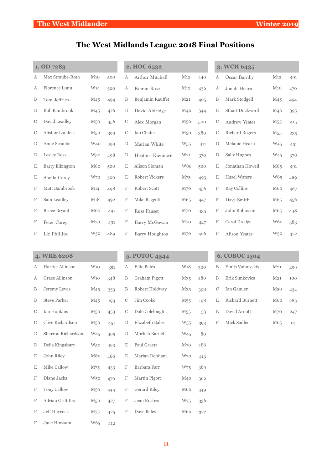### **The West Midlands League 2018 Final Positions**

| 1. OD 7283    |                        |                 |     | 2. HOC 6532   |                       |                 |     | 3. WCH 6435               |                         |                 |     |
|---------------|------------------------|-----------------|-----|---------------|-----------------------|-----------------|-----|---------------------------|-------------------------|-----------------|-----|
| А             | Max Straube-Roth       | M10             | 500 | А             | Arthur Mitchell       | M <sub>12</sub> | 440 | А                         | Oscar Barnby            | M12             | 491 |
| A             | Florence Lunn          | W <sub>14</sub> | 500 | А             | Kieran Rose           | M <sub>12</sub> | 436 | А                         | Jonah Hearn             | M10             | 470 |
| B             | Tom Jeffries           | M <sub>45</sub> | 494 | B             | Benjamin Rauffet      | M <sub>21</sub> | 465 | B                         | Mark Stodgell           | M45             | 494 |
| B             | Rob Bambrook           | M <sub>45</sub> | 476 | B             | David Aldridge        | M <sub>40</sub> | 344 | B                         | <b>Stuart Duckworth</b> | M40             | 395 |
| $\mathcal{C}$ | David Leadley          | M <sub>50</sub> | 456 | $\mathcal{C}$ | Alex Morgan           | M <sub>50</sub> | 500 | $\mathcal{C}$             | <b>Andrew Yeates</b>    | M <sub>55</sub> | 415 |
| C             | Alistair Landels       | M <sub>50</sub> | 399 | $\mathcal{C}$ | Ian Chafer            | M <sub>50</sub> | 380 | $\mathcal{C}$             | <b>Richard Rogers</b>   | M <sub>55</sub> | 235 |
| D             | Anne Straube           | W <sub>40</sub> | 499 | D             | Marian White          | W <sub>55</sub> | 411 | $\mathbf D$               | Melanie Hearn           | W <sub>45</sub> | 451 |
| D             | <b>Lesley Ross</b>     | W <sub>50</sub> | 498 | D             | Heather Kieniewic     | W <sub>21</sub> | 370 | $\mathbf D$               | Sally Hughes            | W <sub>45</sub> | 378 |
| $\mathbf E$   | <b>Barry Elkington</b> | M60             | 500 | E             | Alison Sloman         | W80             | 500 | E                         | Jonathan Howell         | M <sub>65</sub> | 491 |
| $\mathbf E$   | Sheila Carey           | W70             | 500 | E             | Robert Vickers        | M75             | 495 | E                         | <b>Hazel Waters</b>     | W65             | 489 |
| F             | Matt Bambrook          | M14             | 498 | F             | Robert Scott          | M70             | 456 | F                         | Ray Collins             | M60             | 467 |
| F             | Sam Leadley            | M18             | 492 | F             | Mike Baggott          | M65             | 447 | F                         | Dave Smith              | M65             | 456 |
| F             | <b>Bruce Bryant</b>    | M60             | 491 | F             | <b>Russ Fauset</b>    | M <sub>70</sub> | 435 | $\boldsymbol{\mathrm{F}}$ | John Robinson           | M65             | 448 |
| F             | Peter Carey            | M <sub>70</sub> | 491 | F             | Barry McGowan         | M <sub>70</sub> | 427 | F                         | Carol Dredge            | W <sub>60</sub> | 383 |
| F             | Liz Phillips           | W <sub>50</sub> | 489 | F             | <b>Barry Houghton</b> | M <sub>70</sub> | 426 | F                         | <b>Alison Yeates</b>    | W <sub>50</sub> | 372 |

|               | 4. WRE 6208         |                 |     |             | 5. POTOC 4544      |                 |     |             | 6. COBOC 1504          |                 |     |
|---------------|---------------------|-----------------|-----|-------------|--------------------|-----------------|-----|-------------|------------------------|-----------------|-----|
| А             | Harriet Allinson    | W10             | 351 | А           | <b>Ellie Bales</b> | W <sub>18</sub> | 300 | $\mathbf B$ | Emils Vainovskis       | M <sub>21</sub> | 299 |
| А             | Grace Allinson      | W10             | 348 | B           | Graham Pigott      | M <sub>35</sub> | 480 | $\mathbf B$ | Erik Simkovics         | M <sub>21</sub> | 100 |
| B             | Jeremy Lewis        | M <sub>45</sub> | 353 | B           | Robert Holdway     | M <sub>35</sub> | 398 | C           | Ian Gamlen             | M <sub>50</sub> | 434 |
| B             | <b>Steve Parker</b> | M <sub>45</sub> | 193 | C           | Jim Cooke          | M <sub>55</sub> | 198 | Ε           | <b>Richard Burnett</b> | M60             | 283 |
| $\mathcal{C}$ | Ian Hopkins         | M <sub>50</sub> | 453 | C           | Dale Colclough     | M <sub>55</sub> | 53  | E           | David Arnott           | $M_{70}$        | 247 |
| C             | Clive Richardson    | M <sub>50</sub> | 451 | D           | Elizabeth Bales    | W <sub>55</sub> | 393 | F           | Mick Sadler            | M65             | 141 |
| D             | Sharron Richardson  | W <sub>45</sub> | 495 | $\mathbf D$ | Morlich Barnett    | W <sub>45</sub> | 80  |             |                        |                 |     |
| D             | Delia Kingsbury     | W <sub>50</sub> | 493 | Ε           | Paul Graetz        | $M_{70}$        | 486 |             |                        |                 |     |
| E             | John Riley          | M80             | 460 | Ε           | Marian Denham      | W70             | 413 |             |                        |                 |     |
| E             | Mike Callow         | M75             | 433 | F           | Barbara Farr       | W75             | 369 |             |                        |                 |     |
| F             | Diane Jacks         | W <sub>50</sub> | 470 | F           | Martin Pigott      | M40             | 362 |             |                        |                 |     |
| F             | <b>Tony Callow</b>  | M <sub>50</sub> | 444 | F           | Gerard Riley       | M60             | 349 |             |                        |                 |     |
| F             | Adrian Griffiths    | M <sub>50</sub> | 427 | F           | Jean Rostron       | W <sub>75</sub> | 336 |             |                        |                 |     |
| $\mathbf F$   | <b>Jeff Haycock</b> | M75             | 425 | F           | Dave Bales         | M60             | 327 |             |                        |                 |     |
| F             | Jane Howsam         | W65             | 412 |             |                    |                 |     |             |                        |                 |     |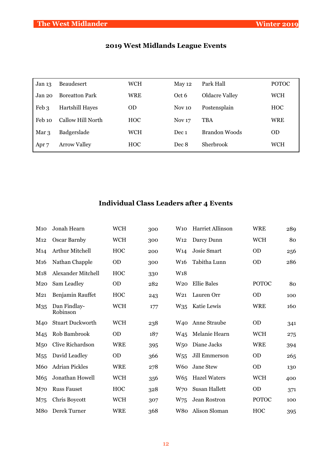| Jan 13 | <b>Beaudesert</b>     | <b>WCH</b> | May 12        | Park Hall             | <b>POTOC</b> |
|--------|-----------------------|------------|---------------|-----------------------|--------------|
| Jan 20 | <b>Boreatton Park</b> | <b>WRE</b> | Oct 6         | <b>Oldacre Valley</b> | <b>WCH</b>   |
| Feb 3  | Hartshill Hayes       | <b>OD</b>  | Nov 10        | Postensplain          | <b>HOC</b>   |
| Feb 10 | Callow Hill North     | <b>HOC</b> | <b>Nov 17</b> | <b>TBA</b>            | WRE          |
| Mar 3  | Badgerslade           | <b>WCH</b> | Dec 1         | Brandon Woods         | <b>OD</b>    |
| Apr 7  | <b>Arrow Valley</b>   | <b>HOC</b> | Dec 8         | Sherbrook             | WCH          |

### **2019 West Midlands League Events**

### **Individual Class Leaders after 4 Events**

| <b>M</b> 10     | Jonah Hearn              | <b>WCH</b> | 300 | W10             | Harriet Allinson    | <b>WRE</b>   | 289 |
|-----------------|--------------------------|------------|-----|-----------------|---------------------|--------------|-----|
| M12             | Oscar Barnby             | <b>WCH</b> | 300 | W <sub>12</sub> | Darcy Dunn          | <b>WCH</b>   | 80  |
| M <sub>14</sub> | Arthur Mitchell          | <b>HOC</b> | 200 | W <sub>14</sub> | Josie Smart         | <b>OD</b>    | 256 |
| M <sub>16</sub> | Nathan Chapple           | <b>OD</b>  | 300 | W <sub>16</sub> | Tabitha Lunn        | <b>OD</b>    | 286 |
| M18             | Alexander Mitchell       | <b>HOC</b> | 330 | W <sub>18</sub> |                     |              |     |
| M <sub>20</sub> | Sam Leadley              | <b>OD</b>  | 282 | W <sub>20</sub> | <b>Ellie Bales</b>  | <b>POTOC</b> | 80  |
| M <sub>21</sub> | Benjamin Rauffet         | HOC        | 243 | W21             | Lauren Orr          | <b>OD</b>    | 100 |
| M <sub>35</sub> | Dan Findlay-<br>Robinson | <b>WCH</b> | 177 | $W_{35}$        | Katie Lewis         | <b>WRE</b>   | 160 |
| M <sub>40</sub> | <b>Stuart Duckworth</b>  | <b>WCH</b> | 238 | W <sub>40</sub> | Anne Straube        | <b>OD</b>    | 341 |
| M <sub>45</sub> | Rob Bambrook             | <b>OD</b>  | 187 | W <sub>45</sub> | Melanie Hearn       | <b>WCH</b>   | 275 |
| M <sub>50</sub> | Clive Richardson         | <b>WRE</b> | 395 | W <sub>50</sub> | Diane Jacks         | <b>WRE</b>   | 394 |
| M <sub>55</sub> | David Leadley            | <b>OD</b>  | 366 | $W_{55}$        | Jill Emmerson       | <b>OD</b>    | 265 |
| M <sub>60</sub> | <b>Adrian Pickles</b>    | <b>WRE</b> | 278 | W60             | Jane Stew           | <b>OD</b>    | 130 |
| M65             | Jonathan Howell          | <b>WCH</b> | 356 | W <sub>65</sub> | <b>Hazel Waters</b> | <b>WCH</b>   | 400 |
| M <sub>70</sub> | <b>Russ Fauset</b>       | HOC        | 328 | W70             | Susan Hallett       | <b>OD</b>    | 371 |
| M75             | Chris Boycott            | <b>WCH</b> | 307 | W75             | Jean Rostron        | <b>POTOC</b> | 100 |
| M80             | Derek Turner             | <b>WRE</b> | 368 |                 | W80 Alison Sloman   | HOC          | 395 |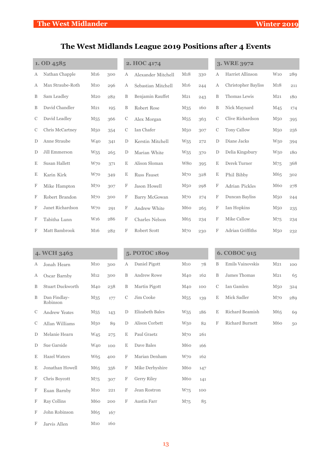### **The West Midlands League 2019 Positions after 4 Events**

| 1. OD 4585   |                  |                 |     | 2. HOC 4174 |                       |                 |     | 3. WRE 3972   |                            |                 |     |
|--------------|------------------|-----------------|-----|-------------|-----------------------|-----------------|-----|---------------|----------------------------|-----------------|-----|
| А            | Nathan Chapple   | M <sub>16</sub> | 300 | А           | Alexander Mitchell    | M18             | 330 | А             | Harriet Allinson           | W10             | 289 |
| $\mathsf{A}$ | Max Straube-Roth | M10             | 296 | А           | Sebastian Mitchell    | M <sub>16</sub> | 244 | А             | <b>Christopher Bayliss</b> | M18             | 211 |
| B            | Sam Leadley      | M <sub>20</sub> | 282 | B           | Benjamin Rauffet      | M <sub>21</sub> | 243 | B             | Thomas Lewis               | M <sub>21</sub> | 180 |
| B            | David Chandler   | M <sub>21</sub> | 195 | B           | Robert Rose           | M <sub>35</sub> | 160 | B             | Nick Maynard               | M <sub>45</sub> | 174 |
| C            | David Leadley    | M <sub>55</sub> | 366 | C           | Alex Morgan           | M <sub>55</sub> | 363 | $\mathcal{C}$ | Clive Richardson           | M <sub>50</sub> | 395 |
| C            | Chris McCartney  | M <sub>50</sub> | 354 | С           | Ian Chafer            | M <sub>50</sub> | 307 | C             | <b>Tony Callow</b>         | M <sub>50</sub> | 256 |
| D            | Anne Straube     | W <sub>40</sub> | 341 | D           | Kerstin Mitchell      | W <sub>55</sub> | 272 | D             | Diane Jacks                | <b>W50</b>      | 394 |
| D            | Jill Emmerson    | W <sub>55</sub> | 265 | $\mathbf D$ | Marian White          | W <sub>55</sub> | 370 | D             | Delia Kingsbury            | W <sub>50</sub> | 180 |
| E            | Susan Hallett    | W70             | 371 | E           | Alison Sloman         | W80             | 395 | E             | Derek Turner               | M75             | 368 |
| Ε            | Karin Kirk       | W70             | 349 | E           | <b>Russ Fauset</b>    | $M_{70}$        | 328 | E             | Phil Bibby                 | M65             | 302 |
| F            | Mike Hampton     | M <sub>70</sub> | 307 | F           | Jason Howell          | M <sub>50</sub> | 298 | F             | Adrian Pickles             | M <sub>60</sub> | 278 |
| F            | Robert Brandon   | M <sub>70</sub> | 300 | F           | Barry McGowan         | $M_{70}$        | 274 | F             | Duncan Bayliss             | M <sub>50</sub> | 244 |
| F            | Janet Richardson | W70             | 291 | F           | Andrew White          | M60             | 265 | F             | Ian Hopkins                | M <sub>50</sub> | 235 |
| F            | Tabitha Lunn     | W <sub>16</sub> | 286 | F           | <b>Charles Nelson</b> | M65             | 234 | F             | <b>Mike Callow</b>         | M75             | 234 |
| F            | Matt Bambrook    | M <sub>16</sub> | 282 | F           | <b>Robert Scott</b>   | $M_{70}$        | 230 | F             | Adrian Griffiths           | M <sub>50</sub> | 232 |

| 4. WCH 3463 |                          |                 |     | 5. POTOC 1809 |                    |                 | 6. COBOC 915 |               |                        |                 |                 |
|-------------|--------------------------|-----------------|-----|---------------|--------------------|-----------------|--------------|---------------|------------------------|-----------------|-----------------|
| А           | Jonah Hearn              | M10             | 300 | А             | Daniel Pigott      | M10             | 78           | B             | Emils Vainovskis       | M <sub>21</sub> | 100             |
| А           | Oscar Barnby             | M12             | 300 | B             | <b>Andrew Rowe</b> | M40             | 162          | $\, {\bf B}$  | James Thomas           | M <sub>21</sub> | 65              |
| B           | Stuart Duckworth         | M <sub>40</sub> | 238 | $\mathbf B$   | Martin Pigott      | M40             | 100          | $\mathcal{C}$ | Ian Gamlen             | M <sub>50</sub> | 324             |
| B           | Dan Findlay-<br>Robinson | M <sub>35</sub> | 177 | C             | Jim Cooke          | M <sub>55</sub> | 139          | E             | Mick Sadler            | M <sub>70</sub> | 28 <sub>9</sub> |
| C           | <b>Andrew Yeates</b>     | M <sub>55</sub> | 143 | D             | Elizabeth Bales    | W <sub>55</sub> | 186          | Ε             | Richard Beamish        | M65             | 69              |
| C           | Allan Williams           | M <sub>50</sub> | 89  | $\mathbb D$   | Alison Corbett     | W <sub>50</sub> | 82           | F             | <b>Richard Burnett</b> | M60             | 50              |
| D           | Melanie Hearn            | W <sub>45</sub> | 275 | E             | Paul Graetz        | M <sub>70</sub> | 261          |               |                        |                 |                 |
| D           | Sue Garside              | W <sub>40</sub> | 100 | E             | Dave Bales         | M60             | 166          |               |                        |                 |                 |
| Ε           | <b>Hazel Waters</b>      | W <sub>65</sub> | 400 | F             | Marian Denham      | W70             | 162          |               |                        |                 |                 |
| E           | Jonathan Howell          | M65             | 356 | F             | Mike Derbyshire    | M60             | 147          |               |                        |                 |                 |
| F           | Chris Boycott            | M75             | 307 | F             | <b>Gerry Riley</b> | M60             | 141          |               |                        |                 |                 |
| F           | Euan Barnby              | M10             | 221 | $\mathbf F$   | Jean Rostron       | W75             | 100          |               |                        |                 |                 |
| F           | Ray Collins              | M60             | 200 | $\mathbf F$   | <b>Austin Farr</b> | M75             | 85           |               |                        |                 |                 |
| F           | John Robinson            | M <sub>65</sub> | 167 |               |                    |                 |              |               |                        |                 |                 |
| F           | Jarvis Allen             | $M_{10}$        | 160 |               |                    |                 |              |               |                        |                 |                 |

### **BOC 915**

| B.             | Emils Vainovskis | M <sub>21</sub>                               | 100 |
|----------------|------------------|-----------------------------------------------|-----|
| B.             | James Thomas     | M <sub>21</sub>                               | 65  |
| C.             | Ian Gamlen       | M50                                           | 324 |
| E.             | Mick Sadler      | M70                                           | 289 |
| E.             | Richard Beamish  | M65                                           | 69  |
| $\blacksquare$ | n'1 n'1          | $\mathcal{R}$ $\mathcal{R}$ $\mathcal{L}$ $-$ |     |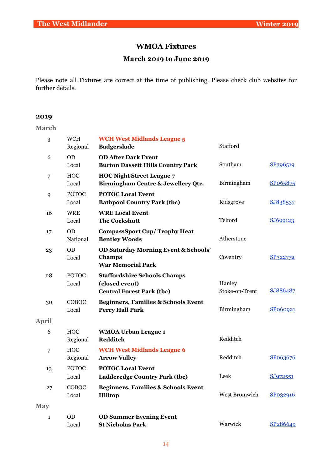#### **WMOA Fixtures**

### **March 2019 to June 2019**

Please note all Fixtures are correct at the time of publishing. Please check club websites for further details.

#### **2019**

**March**

| 3            | <b>WCH</b><br>Regional | <b>WCH West Midlands League 5</b><br><b>Badgerslade</b>                                      | Stafford                 |                      |
|--------------|------------------------|----------------------------------------------------------------------------------------------|--------------------------|----------------------|
| 6            | <b>OD</b><br>Local     | <b>OD After Dark Event</b><br><b>Burton Dassett Hills Country Park</b>                       | Southam                  | SP396519             |
| 7            | <b>HOC</b><br>Local    | <b>HOC Night Street League 7</b><br>Birmingham Centre & Jewellery Qtr.                       | Birmingham               | SP065875             |
| 9            | <b>POTOC</b><br>Local  | <b>POTOC Local Event</b><br><b>Bathpool Country Park (tbc)</b>                               | Kidsgrove                | SJ838537             |
| 16           | <b>WRE</b><br>Local    | <b>WRE Local Event</b><br><b>The Cockshutt</b>                                               | Telford                  | SJ699123             |
| 17           | <b>OD</b><br>National  | <b>CompassSport Cup/Trophy Heat</b><br><b>Bentley Woods</b>                                  | Atherstone               |                      |
| 23           | <b>OD</b><br>Local     | <b>OD Saturday Morning Event &amp; Schools'</b><br><b>Champs</b><br><b>War Memorial Park</b> | Coventry                 | SP322772             |
| 28           | <b>POTOC</b><br>Local  | <b>Staffordshire Schools Champs</b><br>(closed event)<br><b>Central Forest Park (tbc)</b>    | Hanley<br>Stoke-on-Trent | SJ886487             |
| 30           | COBOC<br>Local         | <b>Beginners, Families &amp; Schools Event</b><br><b>Perry Hall Park</b>                     | Birmingham               | SP060921             |
| <b>April</b> |                        |                                                                                              |                          |                      |
| 6            | <b>HOC</b><br>Regional | <b>WMOA Urban League 1</b><br>Redditch                                                       | Redditch                 |                      |
| 7            | <b>HOC</b><br>Regional | <b>WCH West Midlands League 6</b><br><b>Arrow Valley</b>                                     | Redditch                 | SP063676             |
| 13           | <b>POTOC</b><br>Local  | <b>POTOC Local Event</b><br>Ladderedge Country Park (tbc)                                    | Leek                     | SJ972551             |
| 27           | COBOC<br>Local         | <b>Beginners, Families &amp; Schools Event</b><br><b>Hilltop</b>                             | West Bromwich            | SP032916             |
| <b>May</b>   |                        |                                                                                              |                          |                      |
| $\mathbf{1}$ | <b>OD</b><br>Local     | <b>OD Summer Evening Event</b><br><b>St Nicholas Park</b>                                    | Warwick                  | SP <sub>286649</sub> |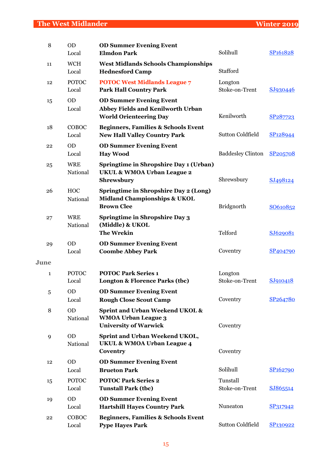| 8            | <b>OD</b><br>Local     | <b>OD Summer Evening Event</b><br><b>Elmdon Park</b>                                                     | Solihull                   | SP <sub>161828</sub> |
|--------------|------------------------|----------------------------------------------------------------------------------------------------------|----------------------------|----------------------|
| 11           | <b>WCH</b><br>Local    | <b>West Midlands Schools Championships</b><br><b>Hednesford Camp</b>                                     | Stafford                   |                      |
| 12           | <b>POTOC</b><br>Local  | <b>POTOC West Midlands League 7</b><br><b>Park Hall Country Park</b>                                     | Longton<br>Stoke-on-Trent  | SJ930446             |
| 15           | <b>OD</b><br>Local     | <b>OD Summer Evening Event</b><br>Abbey Fields and Kenilworth Urban<br><b>World Orienteering Day</b>     | Kenilworth                 | SP <sub>287723</sub> |
| 18           | COBOC<br>Local         | <b>Beginners, Families &amp; Schools Event</b><br><b>New Hall Valley Country Park</b>                    | <b>Sutton Coldfield</b>    | SP <sub>128944</sub> |
| 22           | <b>OD</b><br>Local     | <b>OD Summer Evening Event</b><br><b>Hay Wood</b>                                                        | <b>Baddesley Clinton</b>   | SP205708             |
| 25           | <b>WRE</b><br>National | Springtime in Shropshire Day 1 (Urban)<br>UKUL & WMOA Urban League 2<br><b>Shrewsbury</b>                | Shrewsbury                 | SJ498124             |
| 26           | <b>HOC</b><br>National | Springtime in Shropshire Day 2 (Long)<br><b>Midland Championships &amp; UKOL</b><br><b>Brown Clee</b>    | Bridgnorth                 | SO610852             |
| 27           | <b>WRE</b><br>National | <b>Springtime in Shropshire Day 3</b><br>(Middle) & UKOL<br><b>The Wrekin</b>                            | Telford                    | SJ629081             |
| 29           | <b>OD</b><br>Local     | <b>OD Summer Evening Event</b><br><b>Coombe Abbey Park</b>                                               | Coventry                   | SP <sub>404790</sub> |
| June         |                        |                                                                                                          |                            |                      |
| $\mathbf{1}$ | <b>POTOC</b><br>Local  | <b>POTOC Park Series 1</b><br>Longton & Florence Parks (tbc)                                             | Longton<br>Stoke-on-Trent  | SJ910418             |
| 5            | <b>OD</b><br>Local     | <b>OD Summer Evening Event</b><br><b>Rough Close Scout Camp</b>                                          | Coventry                   | SP264780             |
| 8            | <b>OD</b><br>National  | <b>Sprint and Urban Weekend UKOL &amp;</b><br><b>WMOA Urban League 3</b><br><b>University of Warwick</b> | Coventry                   |                      |
| 9            | <b>OD</b><br>National  | Sprint and Urban Weekend UKOL,<br><b>UKUL &amp; WMOA Urban League 4</b><br>Coventry                      | Coventry                   |                      |
| 12           | <b>OD</b>              | <b>OD Summer Evening Event</b>                                                                           |                            |                      |
|              | Local                  | <b>Brueton Park</b>                                                                                      | Solihull                   | SP <sub>162790</sub> |
| 15           | <b>POTOC</b><br>Local  | <b>POTOC Park Series 2</b><br><b>Tunstall Park (tbc)</b>                                                 | Tunstall<br>Stoke-on-Trent | SJ865514             |
| 19           | OD<br>Local            | <b>OD Summer Evening Event</b><br><b>Hartshill Hayes Country Park</b>                                    | Nuneaton                   | SP317942             |
| 22           | COBOC<br>Local         | <b>Beginners, Families &amp; Schools Event</b><br><b>Pype Hayes Park</b>                                 | Sutton Coldfield           | SP130922             |